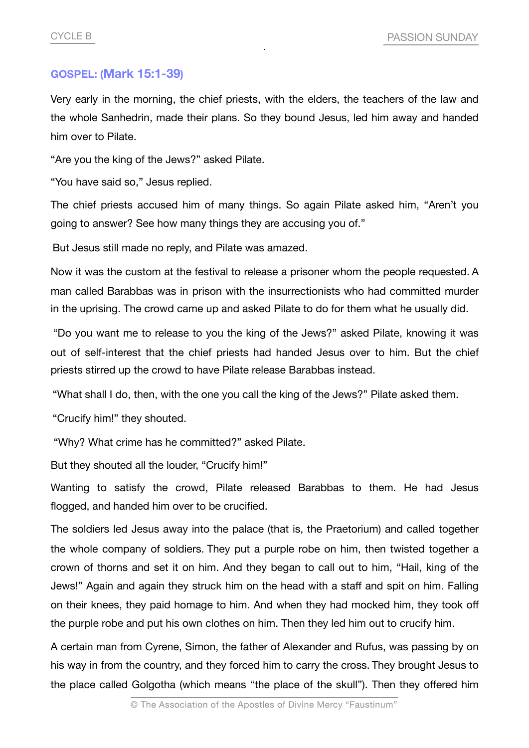## **GOSPEL: (Mark 15:1-39)**

Very early in the morning, the chief priests, with the elders, the teachers of the law and the whole Sanhedrin, made their plans. So they bound Jesus, led him away and handed him over to Pilate.

"Are you the king of the Jews?" asked Pilate.

"You have said so," Jesus replied.

The chief priests accused him of many things. So again Pilate asked him, "Aren't you going to answer? See how many things they are accusing you of."

But Jesus still made no reply, and Pilate was amazed.

Now it was the custom at the festival to release a prisoner whom the people requested. A man called Barabbas was in prison with the insurrectionists who had committed murder in the uprising. The crowd came up and asked Pilate to do for them what he usually did.

"Do you want me to release to you the king of the Jews?" asked Pilate, knowing it was out of self-interest that the chief priests had handed Jesus over to him. But the chief priests stirred up the crowd to have Pilate release Barabbas instead.

"What shall I do, then, with the one you call the king of the Jews?" Pilate asked them.

"Crucify him!" they shouted.

"Why? What crime has he committed?" asked Pilate.

But they shouted all the louder, "Crucify him!"

Wanting to satisfy the crowd, Pilate released Barabbas to them. He had Jesus flogged, and handed him over to be crucified.

The soldiers led Jesus away into the palace (that is, the Praetorium) and called together the whole company of soldiers. They put a purple robe on him, then twisted together a crown of thorns and set it on him. And they began to call out to him, "Hail, king of the Jews!" Again and again they struck him on the head with a staff and spit on him. Falling on their knees, they paid homage to him. And when they had mocked him, they took off the purple robe and put his own clothes on him. Then they led him out to crucify him.

A certain man from Cyrene, Simon, the father of Alexander and Rufus, was passing by on his way in from the country, and they forced him to carry the cross. They brought Jesus to the place called Golgotha (which means "the place of the skull"). Then they offered him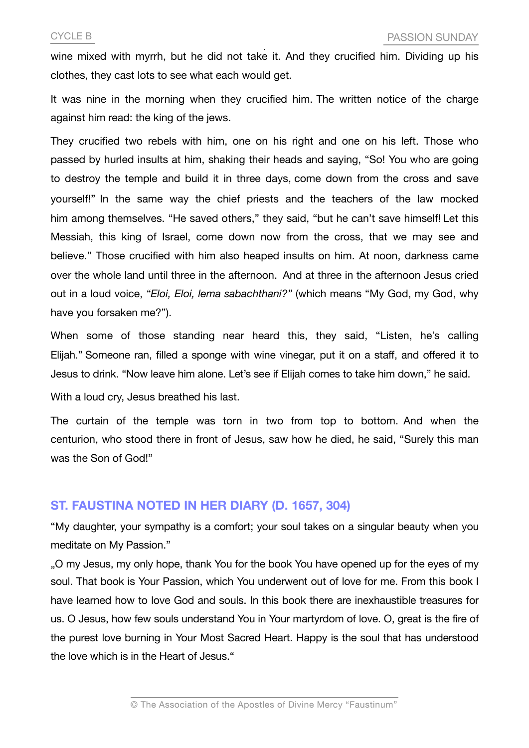wine mixed with myrrh, but he did not take it. And they crucified him. Dividing up his clothes, they cast lots to see what each would get.

It was nine in the morning when they crucified him. The written notice of the charge against him read: the king of the jews.

They crucified two rebels with him, one on his right and one on his left. Those who passed by hurled insults at him, shaking their heads and saying, "So! You who are going to destroy the temple and build it in three days, come down from the cross and save yourself!" In the same way the chief priests and the teachers of the law mocked him among themselves. "He saved others," they said, "but he can't save himself! Let this Messiah, this king of Israel, come down now from the cross, that we may see and believe." Those crucified with him also heaped insults on him. At noon, darkness came over the whole land until three in the afternoon. And at three in the afternoon Jesus cried out in a loud voice, *"Eloi, Eloi, lema sabachthani?"* (which means "My God, my God, why have you forsaken me?").

When some of those standing near heard this, they said, "Listen, he's calling Elijah." Someone ran, filled a sponge with wine vinegar, put it on a staff, and offered it to Jesus to drink. "Now leave him alone. Let's see if Elijah comes to take him down," he said.

With a loud cry, Jesus breathed his last.

The curtain of the temple was torn in two from top to bottom. And when the centurion, who stood there in front of Jesus, saw how he died, he said, "Surely this man was the Son of God!"

## **ST. FAUSTINA NOTED IN HER DIARY (D. 1657, 304)**

"My daughter, your sympathy is a comfort; your soul takes on a singular beauty when you meditate on My Passion."

"O my Jesus, my only hope, thank You for the book You have opened up for the eyes of my soul. That book is Your Passion, which You underwent out of love for me. From this book I have learned how to love God and souls. In this book there are inexhaustible treasures for us. O Jesus, how few souls understand You in Your martyrdom of love. O, great is the fire of the purest love burning in Your Most Sacred Heart. Happy is the soul that has understood the love which is in the Heart of Jesus."